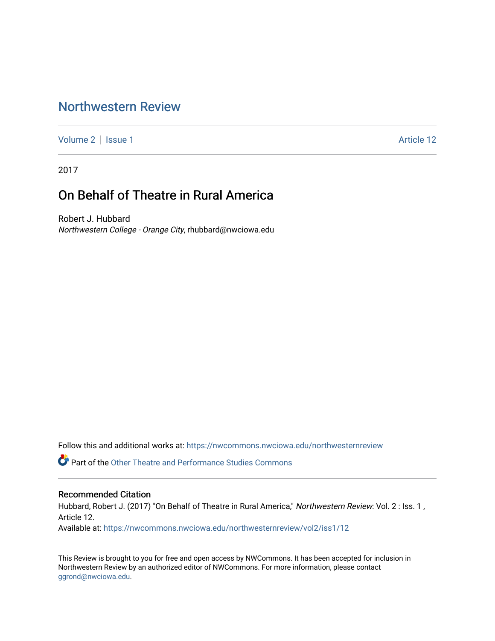## [Northwestern Review](https://nwcommons.nwciowa.edu/northwesternreview)

[Volume 2](https://nwcommons.nwciowa.edu/northwesternreview/vol2) | [Issue 1](https://nwcommons.nwciowa.edu/northwesternreview/vol2/iss1) Article 12

2017

## On Behalf of Theatre in Rural America

Robert J. Hubbard Northwestern College - Orange City, rhubbard@nwciowa.edu

Follow this and additional works at: [https://nwcommons.nwciowa.edu/northwesternreview](https://nwcommons.nwciowa.edu/northwesternreview?utm_source=nwcommons.nwciowa.edu%2Fnorthwesternreview%2Fvol2%2Fiss1%2F12&utm_medium=PDF&utm_campaign=PDFCoverPages) 

Part of the [Other Theatre and Performance Studies Commons](http://network.bepress.com/hgg/discipline/558?utm_source=nwcommons.nwciowa.edu%2Fnorthwesternreview%2Fvol2%2Fiss1%2F12&utm_medium=PDF&utm_campaign=PDFCoverPages) 

#### Recommended Citation

Hubbard, Robert J. (2017) "On Behalf of Theatre in Rural America," Northwestern Review: Vol. 2 : Iss. 1, Article 12.

Available at: [https://nwcommons.nwciowa.edu/northwesternreview/vol2/iss1/12](https://nwcommons.nwciowa.edu/northwesternreview/vol2/iss1/12?utm_source=nwcommons.nwciowa.edu%2Fnorthwesternreview%2Fvol2%2Fiss1%2F12&utm_medium=PDF&utm_campaign=PDFCoverPages) 

This Review is brought to you for free and open access by NWCommons. It has been accepted for inclusion in Northwestern Review by an authorized editor of NWCommons. For more information, please contact [ggrond@nwciowa.edu.](mailto:ggrond@nwciowa.edu)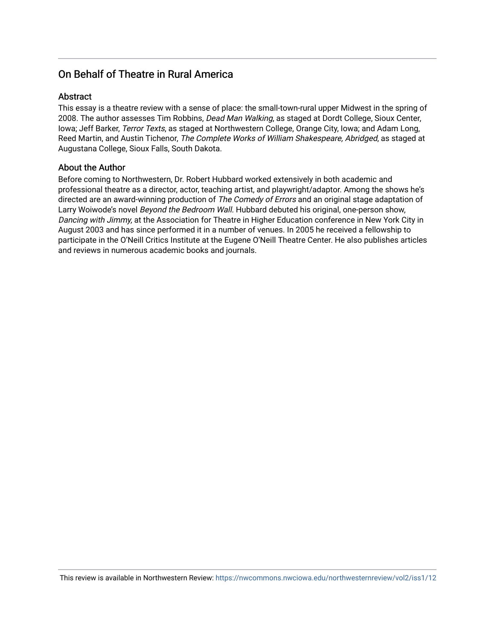### On Behalf of Theatre in Rural America

#### **Abstract**

This essay is a theatre review with a sense of place: the small-town-rural upper Midwest in the spring of 2008. The author assesses Tim Robbins, *Dead Man Walking*, as staged at Dordt College, Sioux Center, Iowa; Jeff Barker, Terror Texts, as staged at Northwestern College, Orange City, Iowa; and Adam Long, Reed Martin, and Austin Tichenor, The Complete Works of William Shakespeare, Abridged, as staged at Augustana College, Sioux Falls, South Dakota.

#### About the Author

Before coming to Northwestern, Dr. Robert Hubbard worked extensively in both academic and professional theatre as a director, actor, teaching artist, and playwright/adaptor. Among the shows he's directed are an award-winning production of The Comedy of Errors and an original stage adaptation of Larry Woiwode's novel Beyond the Bedroom Wall. Hubbard debuted his original, one-person show, Dancing with Jimmy, at the Association for Theatre in Higher Education conference in New York City in August 2003 and has since performed it in a number of venues. In 2005 he received a fellowship to participate in the O'Neill Critics Institute at the Eugene O'Neill Theatre Center. He also publishes articles and reviews in numerous academic books and journals.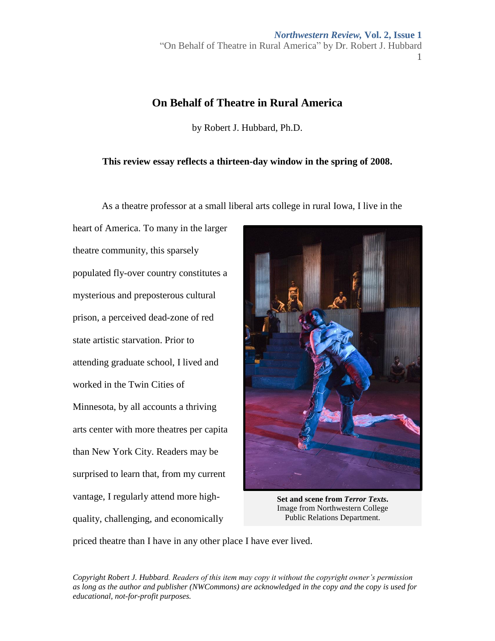*Northwestern Review,* **Vol. 2, Issue 1** "On Behalf of Theatre in Rural America" by Dr. Robert J. Hubbard 1

# **On Behalf of Theatre in Rural America**

by Robert J. Hubbard, Ph.D.

#### **This review essay reflects a thirteen-day window in the spring of 2008.**

As a theatre professor at a small liberal arts college in rural Iowa, I live in the

heart of America. To many in the larger theatre community, this sparsely populated fly-over country constitutes a mysterious and preposterous cultural prison, a perceived dead-zone of red state artistic starvation. Prior to attending graduate school, I lived and worked in the Twin Cities of Minnesota, by all accounts a thriving arts center with more theatres per capita than New York City. Readers may be surprised to learn that, from my current vantage, I regularly attend more highquality, challenging, and economically



**Set and scene from** *Terror Texts***.**  Image from Northwestern College Public Relations Department.

priced theatre than I have in any other place I have ever lived.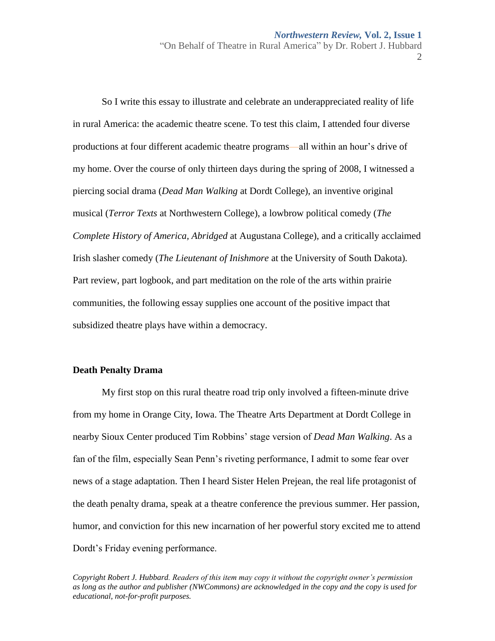So I write this essay to illustrate and celebrate an underappreciated reality of life in rural America: the academic theatre scene. To test this claim, I attended four diverse productions at four different academic theatre programs—all within an hour's drive of my home. Over the course of only thirteen days during the spring of 2008, I witnessed a piercing social drama (*Dead Man Walking* at Dordt College), an inventive original musical (*Terror Texts* at Northwestern College), a lowbrow political comedy (*The Complete History of America, Abridged* at Augustana College), and a critically acclaimed Irish slasher comedy (*The Lieutenant of Inishmore* at the University of South Dakota)*.*  Part review, part logbook, and part meditation on the role of the arts within prairie communities, the following essay supplies one account of the positive impact that subsidized theatre plays have within a democracy.

#### **Death Penalty Drama**

My first stop on this rural theatre road trip only involved a fifteen-minute drive from my home in Orange City, Iowa. The Theatre Arts Department at Dordt College in nearby Sioux Center produced Tim Robbins' stage version of *Dead Man Walking*. As a fan of the film, especially Sean Penn's riveting performance, I admit to some fear over news of a stage adaptation. Then I heard Sister Helen Prejean, the real life protagonist of the death penalty drama, speak at a theatre conference the previous summer. Her passion, humor, and conviction for this new incarnation of her powerful story excited me to attend Dordt's Friday evening performance.

*Copyright Robert J. Hubbard. Readers of this item may copy it without the copyright owner's permission as long as the author and publisher (NWCommons) are acknowledged in the copy and the copy is used for educational, not-for-profit purposes.*

2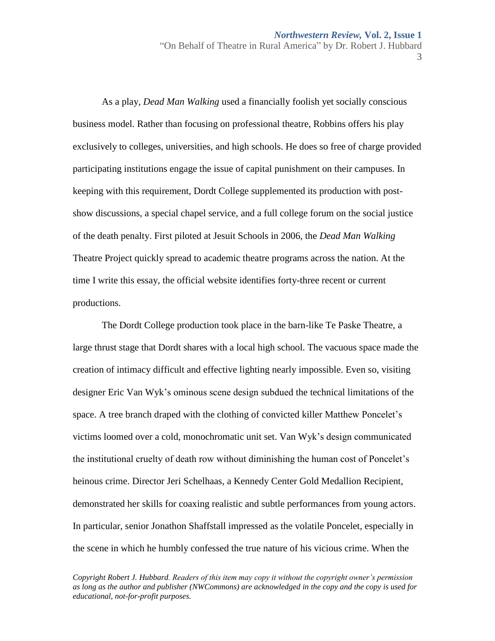3

As a play, *Dead Man Walking* used a financially foolish yet socially conscious business model. Rather than focusing on professional theatre, Robbins offers his play exclusively to colleges, universities, and high schools. He does so free of charge provided participating institutions engage the issue of capital punishment on their campuses. In keeping with this requirement, Dordt College supplemented its production with postshow discussions, a special chapel service, and a full college forum on the social justice of the death penalty. First piloted at Jesuit Schools in 2006, the *Dead Man Walking* Theatre Project quickly spread to academic theatre programs across the nation. At the time I write this essay, the official website identifies forty-three recent or current productions.

The Dordt College production took place in the barn-like Te Paske Theatre, a large thrust stage that Dordt shares with a local high school. The vacuous space made the creation of intimacy difficult and effective lighting nearly impossible. Even so, visiting designer Eric Van Wyk's ominous scene design subdued the technical limitations of the space. A tree branch draped with the clothing of convicted killer Matthew Poncelet's victims loomed over a cold, monochromatic unit set. Van Wyk's design communicated the institutional cruelty of death row without diminishing the human cost of Poncelet's heinous crime. Director Jeri Schelhaas, a Kennedy Center Gold Medallion Recipient, demonstrated her skills for coaxing realistic and subtle performances from young actors. In particular, senior Jonathon Shaffstall impressed as the volatile Poncelet, especially in the scene in which he humbly confessed the true nature of his vicious crime. When the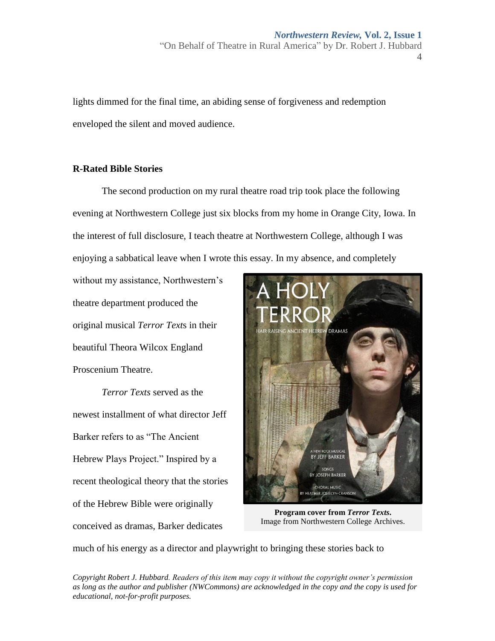lights dimmed for the final time, an abiding sense of forgiveness and redemption enveloped the silent and moved audience.

#### **R-Rated Bible Stories**

The second production on my rural theatre road trip took place the following evening at Northwestern College just six blocks from my home in Orange City, Iowa. In the interest of full disclosure, I teach theatre at Northwestern College, although I was enjoying a sabbatical leave when I wrote this essay. In my absence, and completely

without my assistance, Northwestern's theatre department produced the original musical *Terror Text*s in their beautiful Theora Wilcox England Proscenium Theatre.

*Terror Texts* served as the newest installment of what director Jeff Barker refers to as "The Ancient Hebrew Plays Project." Inspired by a recent theological theory that the stories of the Hebrew Bible were originally conceived as dramas, Barker dedicates



**Program cover from** *Terror Texts***.**  Image from Northwestern College Archives.

much of his energy as a director and playwright to bringing these stories back to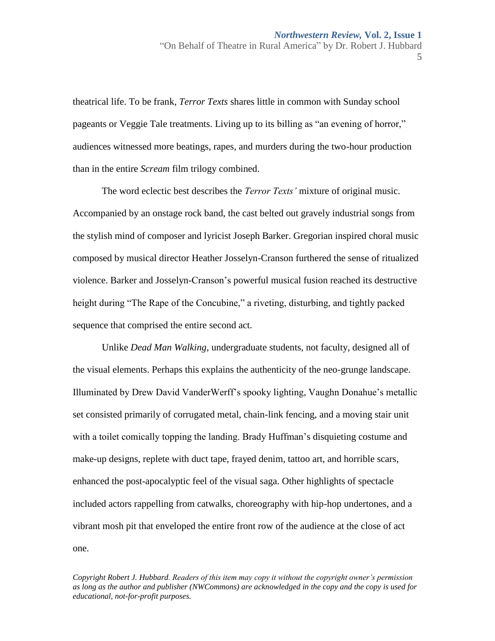theatrical life. To be frank, *Terror Texts* shares little in common with Sunday school pageants or Veggie Tale treatments. Living up to its billing as "an evening of horror," audiences witnessed more beatings, rapes, and murders during the two-hour production than in the entire *Scream* film trilogy combined.

The word eclectic best describes the *Terror Texts'* mixture of original music. Accompanied by an onstage rock band, the cast belted out gravely industrial songs from the stylish mind of composer and lyricist Joseph Barker. Gregorian inspired choral music composed by musical director Heather Josselyn-Cranson furthered the sense of ritualized violence. Barker and Josselyn-Cranson's powerful musical fusion reached its destructive height during "The Rape of the Concubine," a riveting, disturbing, and tightly packed sequence that comprised the entire second act.

Unlike *Dead Man Walking*, undergraduate students, not faculty, designed all of the visual elements. Perhaps this explains the authenticity of the neo-grunge landscape. Illuminated by Drew David VanderWerff's spooky lighting, Vaughn Donahue's metallic set consisted primarily of corrugated metal, chain-link fencing, and a moving stair unit with a toilet comically topping the landing. Brady Huffman's disquieting costume and make-up designs, replete with duct tape, frayed denim, tattoo art, and horrible scars, enhanced the post-apocalyptic feel of the visual saga. Other highlights of spectacle included actors rappelling from catwalks, choreography with hip-hop undertones, and a vibrant mosh pit that enveloped the entire front row of the audience at the close of act one.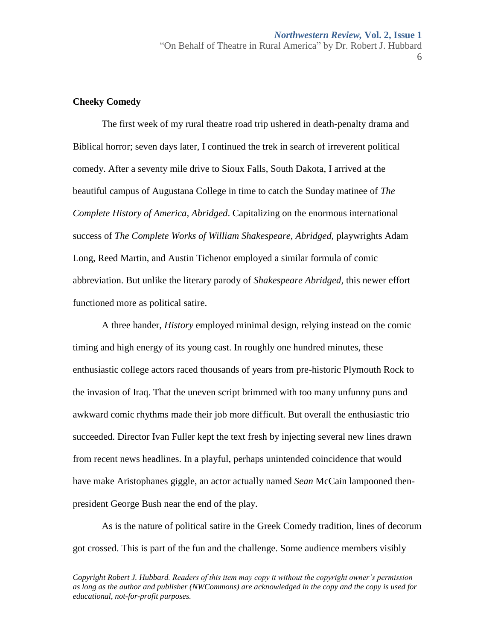#### **Cheeky Comedy**

The first week of my rural theatre road trip ushered in death-penalty drama and Biblical horror; seven days later, I continued the trek in search of irreverent political comedy. After a seventy mile drive to Sioux Falls, South Dakota, I arrived at the beautiful campus of Augustana College in time to catch the Sunday matinee of *The Complete History of America, Abridged*. Capitalizing on the enormous international success of *The Complete Works of William Shakespeare, Abridged, playwrights Adam* Long, Reed Martin, and Austin Tichenor employed a similar formula of comic abbreviation. But unlike the literary parody of *Shakespeare Abridged,* this newer effort functioned more as political satire.

A three hander, *History* employed minimal design, relying instead on the comic timing and high energy of its young cast. In roughly one hundred minutes, these enthusiastic college actors raced thousands of years from pre-historic Plymouth Rock to the invasion of Iraq. That the uneven script brimmed with too many unfunny puns and awkward comic rhythms made their job more difficult. But overall the enthusiastic trio succeeded. Director Ivan Fuller kept the text fresh by injecting several new lines drawn from recent news headlines. In a playful, perhaps unintended coincidence that would have make Aristophanes giggle, an actor actually named *Sean* McCain lampooned thenpresident George Bush near the end of the play.

As is the nature of political satire in the Greek Comedy tradition, lines of decorum got crossed. This is part of the fun and the challenge. Some audience members visibly

*Copyright Robert J. Hubbard. Readers of this item may copy it without the copyright owner's permission as long as the author and publisher (NWCommons) are acknowledged in the copy and the copy is used for educational, not-for-profit purposes.*

6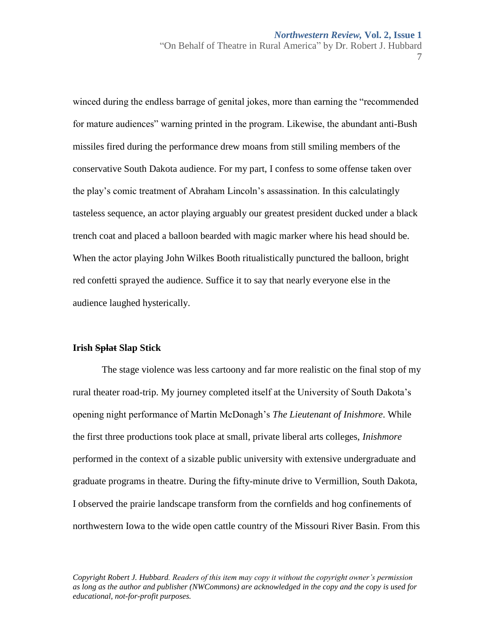7

winced during the endless barrage of genital jokes, more than earning the "recommended for mature audiences" warning printed in the program. Likewise, the abundant anti-Bush missiles fired during the performance drew moans from still smiling members of the conservative South Dakota audience. For my part, I confess to some offense taken over the play's comic treatment of Abraham Lincoln's assassination. In this calculatingly tasteless sequence, an actor playing arguably our greatest president ducked under a black trench coat and placed a balloon bearded with magic marker where his head should be. When the actor playing John Wilkes Booth ritualistically punctured the balloon, bright red confetti sprayed the audience. Suffice it to say that nearly everyone else in the audience laughed hysterically.

#### **Irish Splat Slap Stick**

The stage violence was less cartoony and far more realistic on the final stop of my rural theater road-trip. My journey completed itself at the University of South Dakota's opening night performance of Martin McDonagh's *The Lieutenant of Inishmore*. While the first three productions took place at small, private liberal arts colleges, *Inishmore*  performed in the context of a sizable public university with extensive undergraduate and graduate programs in theatre. During the fifty-minute drive to Vermillion, South Dakota, I observed the prairie landscape transform from the cornfields and hog confinements of northwestern Iowa to the wide open cattle country of the Missouri River Basin. From this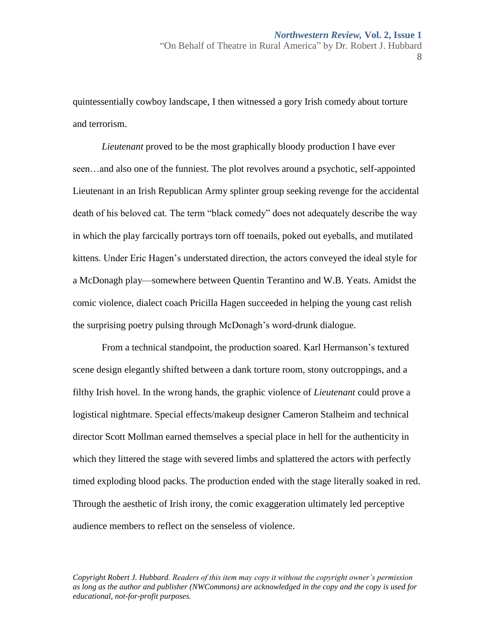8

quintessentially cowboy landscape, I then witnessed a gory Irish comedy about torture and terrorism.

*Lieutenant* proved to be the most graphically bloody production I have ever seen…and also one of the funniest. The plot revolves around a psychotic, self-appointed Lieutenant in an Irish Republican Army splinter group seeking revenge for the accidental death of his beloved cat. The term "black comedy" does not adequately describe the way in which the play farcically portrays torn off toenails, poked out eyeballs, and mutilated kittens. Under Eric Hagen's understated direction, the actors conveyed the ideal style for a McDonagh play—somewhere between Quentin Terantino and W.B. Yeats. Amidst the comic violence, dialect coach Pricilla Hagen succeeded in helping the young cast relish the surprising poetry pulsing through McDonagh's word-drunk dialogue.

From a technical standpoint, the production soared. Karl Hermanson's textured scene design elegantly shifted between a dank torture room, stony outcroppings, and a filthy Irish hovel. In the wrong hands, the graphic violence of *Lieutenant* could prove a logistical nightmare. Special effects/makeup designer Cameron Stalheim and technical director Scott Mollman earned themselves a special place in hell for the authenticity in which they littered the stage with severed limbs and splattered the actors with perfectly timed exploding blood packs. The production ended with the stage literally soaked in red. Through the aesthetic of Irish irony, the comic exaggeration ultimately led perceptive audience members to reflect on the senseless of violence.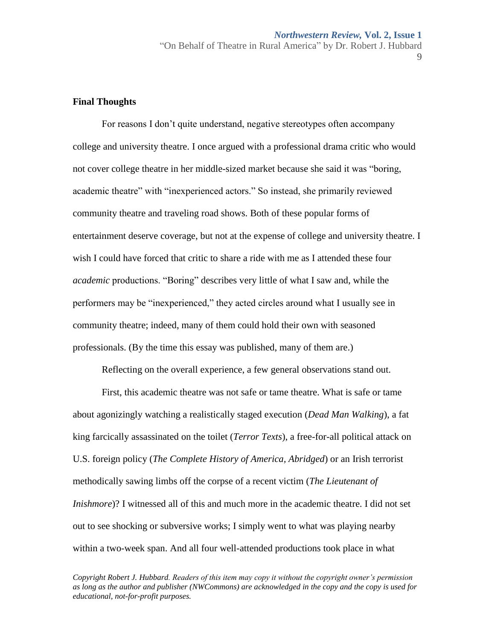#### **Final Thoughts**

For reasons I don't quite understand, negative stereotypes often accompany college and university theatre. I once argued with a professional drama critic who would not cover college theatre in her middle-sized market because she said it was "boring, academic theatre" with "inexperienced actors." So instead, she primarily reviewed community theatre and traveling road shows. Both of these popular forms of entertainment deserve coverage, but not at the expense of college and university theatre. I wish I could have forced that critic to share a ride with me as I attended these four *academic* productions. "Boring" describes very little of what I saw and, while the performers may be "inexperienced," they acted circles around what I usually see in community theatre; indeed, many of them could hold their own with seasoned professionals. (By the time this essay was published, many of them are.)

Reflecting on the overall experience, a few general observations stand out.

First, this academic theatre was not safe or tame theatre. What is safe or tame about agonizingly watching a realistically staged execution (*Dead Man Walking*), a fat king farcically assassinated on the toilet (*Terror Texts*), a free-for-all political attack on U.S. foreign policy (*The Complete History of America, Abridged*) or an Irish terrorist methodically sawing limbs off the corpse of a recent victim (*The Lieutenant of Inishmore*)? I witnessed all of this and much more in the academic theatre. I did not set out to see shocking or subversive works; I simply went to what was playing nearby within a two-week span. And all four well-attended productions took place in what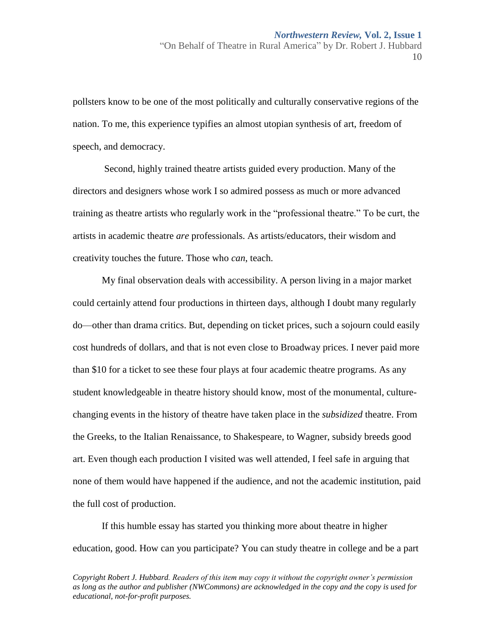pollsters know to be one of the most politically and culturally conservative regions of the nation. To me, this experience typifies an almost utopian synthesis of art, freedom of speech, and democracy.

Second, highly trained theatre artists guided every production. Many of the directors and designers whose work I so admired possess as much or more advanced training as theatre artists who regularly work in the "professional theatre." To be curt, the artists in academic theatre *are* professionals. As artists/educators, their wisdom and creativity touches the future. Those who *can*, teach.

My final observation deals with accessibility. A person living in a major market could certainly attend four productions in thirteen days, although I doubt many regularly do—other than drama critics. But, depending on ticket prices, such a sojourn could easily cost hundreds of dollars, and that is not even close to Broadway prices. I never paid more than \$10 for a ticket to see these four plays at four academic theatre programs. As any student knowledgeable in theatre history should know, most of the monumental, culturechanging events in the history of theatre have taken place in the *subsidized* theatre. From the Greeks, to the Italian Renaissance, to Shakespeare, to Wagner, subsidy breeds good art. Even though each production I visited was well attended, I feel safe in arguing that none of them would have happened if the audience, and not the academic institution, paid the full cost of production.

If this humble essay has started you thinking more about theatre in higher education, good. How can you participate? You can study theatre in college and be a part

*Copyright Robert J. Hubbard. Readers of this item may copy it without the copyright owner's permission as long as the author and publisher (NWCommons) are acknowledged in the copy and the copy is used for educational, not-for-profit purposes.*